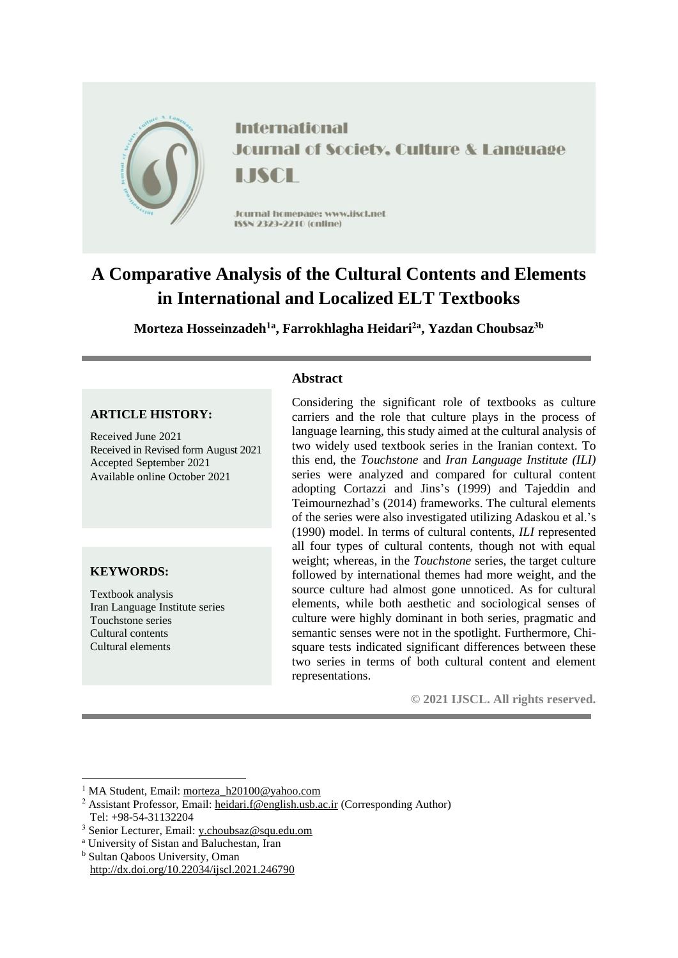

**International Journal of Society, Culture & Language** LISCE

Journal homepage: www.jiscl.net ISSN 2329-2210 (cnline)

# **A Comparative Analysis of the Cultural Contents and Elements in International and Localized ELT Textbooks**

**Morteza Hosseinzadeh1a , Farrokhlagha Heidari2a , Yazdan Choubsaz3b**

# **ARTICLE HISTORY:**

Received June 2021 Received in Revised form August 2021 Accepted September 2021 Available online October 2021

# **KEYWORDS:**

**.** 

Textbook analysis Iran Language Institute series Touchstone series Cultural contents Cultural elements

## **Abstract**

Considering the significant role of textbooks as culture carriers and the role that culture plays in the process of language learning, this study aimed at the cultural analysis of two widely used textbook series in the Iranian context. To this end, the *Touchstone* and *Iran Language Institute (ILI)*  series were analyzed and compared for cultural content adopting Cortazzi and Jins's (1999) and Tajeddin and Teimournezhad's (2014) frameworks. The cultural elements of the series were also investigated utilizing Adaskou et al.'s (1990) model. In terms of cultural contents, *ILI* represented all four types of cultural contents, though not with equal weight; whereas, in the *Touchstone* series, the target culture followed by international themes had more weight, and the source culture had almost gone unnoticed. As for cultural elements, while both aesthetic and sociological senses of culture were highly dominant in both series, pragmatic and semantic senses were not in the spotlight. Furthermore, Chisquare tests indicated significant differences between these two series in terms of both cultural content and element representations.

**© 2021 IJSCL. All rights reserved.**

<sup>b</sup> Sultan Qaboos University, Oman <http://dx.doi.org/10.22034/ijscl.2021.246790>

<sup>&</sup>lt;sup>1</sup> MA Student, Email: [morteza\\_h20100@yahoo.com](mailto:morteza_h20100@yahoo.com)

<sup>&</sup>lt;sup>2</sup> Assistant Professor, Email: [heidari.f@english.usb.ac.ir](mailto:heidari.f@english.usb.ac.ir) (Corresponding Author) Tel: +98-54-31132204

<sup>3</sup> Senior Lecturer, Email: [y.choubsaz@squ.edu.om](mailto:y.choubsaz@squ.edu.om) 

<sup>a</sup> University of Sistan and Baluchestan, Iran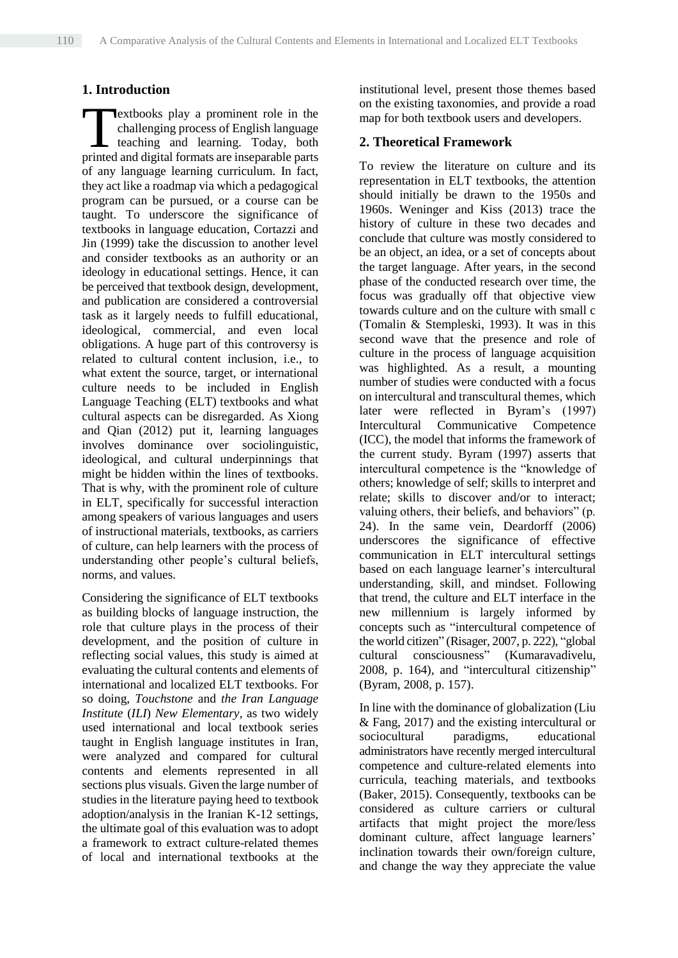# **1. Introduction**

extbooks play a prominent role in the challenging process of English language teaching and learning. Today, both **Printed and digital formats are inseparable parts** and digital formats are inseparable parts of any language learning curriculum. In fact, they act like a roadmap via which a pedagogical program can be pursued, or a course can be taught. To underscore the significance of textbooks in language education, Cortazzi and Jin (1999) take the discussion to another level and consider textbooks as an authority or an ideology in educational settings. Hence, it can be perceived that textbook design, development, and publication are considered a controversial task as it largely needs to fulfill educational, ideological, commercial, and even local obligations. A huge part of this controversy is related to cultural content inclusion, i.e., to what extent the source, target, or international culture needs to be included in English Language Teaching (ELT) textbooks and what cultural aspects can be disregarded. As Xiong and Qian (2012) put it, learning languages involves dominance over sociolinguistic, ideological, and cultural underpinnings that might be hidden within the lines of textbooks. That is why, with the prominent role of culture in ELT, specifically for successful interaction among speakers of various languages and users of instructional materials, textbooks, as carriers of culture, can help learners with the process of understanding other people's cultural beliefs, norms, and values.

Considering the significance of ELT textbooks as building blocks of language instruction, the role that culture plays in the process of their development, and the position of culture in reflecting social values, this study is aimed at evaluating the cultural contents and elements of international and localized ELT textbooks. For so doing, *Touchstone* and *the Iran Language Institute* (*ILI*) *New Elementary,* as two widely used international and local textbook series taught in English language institutes in Iran, were analyzed and compared for cultural contents and elements represented in all sections plus visuals. Given the large number of studies in the literature paying heed to textbook adoption/analysis in the Iranian K-12 settings, the ultimate goal of this evaluation was to adopt a framework to extract culture-related themes of local and international textbooks at the

institutional level, present those themes based on the existing taxonomies, and provide a road map for both textbook users and developers.

## **2. Theoretical Framework**

To review the literature on culture and its representation in ELT textbooks, the attention should initially be drawn to the 1950s and 1960s. Weninger and Kiss (2013) trace the history of culture in these two decades and conclude that culture was mostly considered to be an object, an idea, or a set of concepts about the target language. After years, in the second phase of the conducted research over time, the focus was gradually off that objective view towards culture and on the culture with small c (Tomalin & Stempleski, 1993). It was in this second wave that the presence and role of culture in the process of language acquisition was highlighted. As a result, a mounting number of studies were conducted with a focus on intercultural and transcultural themes, which later were reflected in Byram's (1997) Intercultural Communicative Competence (ICC), the model that informs the framework of the current study. Byram (1997) asserts that intercultural competence is the "knowledge of others; knowledge of self; skills to interpret and relate; skills to discover and/or to interact; valuing others, their beliefs, and behaviors" (p. 24). In the same vein, Deardorff (2006) underscores the significance of effective communication in ELT intercultural settings based on each language learner's intercultural understanding, skill, and mindset. Following that trend, the culture and ELT interface in the new millennium is largely informed by concepts such as "intercultural competence of the world citizen" (Risager, 2007, p. 222), "global cultural consciousness" (Kumaravadivelu, 2008, p. 164), and "intercultural citizenship" (Byram, 2008, p. 157).

In line with the dominance of globalization (Liu & Fang, 2017) and the existing intercultural or sociocultural paradigms, educational administrators have recently merged intercultural competence and culture-related elements into curricula, teaching materials, and textbooks (Baker, 2015). Consequently, textbooks can be considered as culture carriers or cultural artifacts that might project the more/less dominant culture, affect language learners' inclination towards their own/foreign culture, and change the way they appreciate the value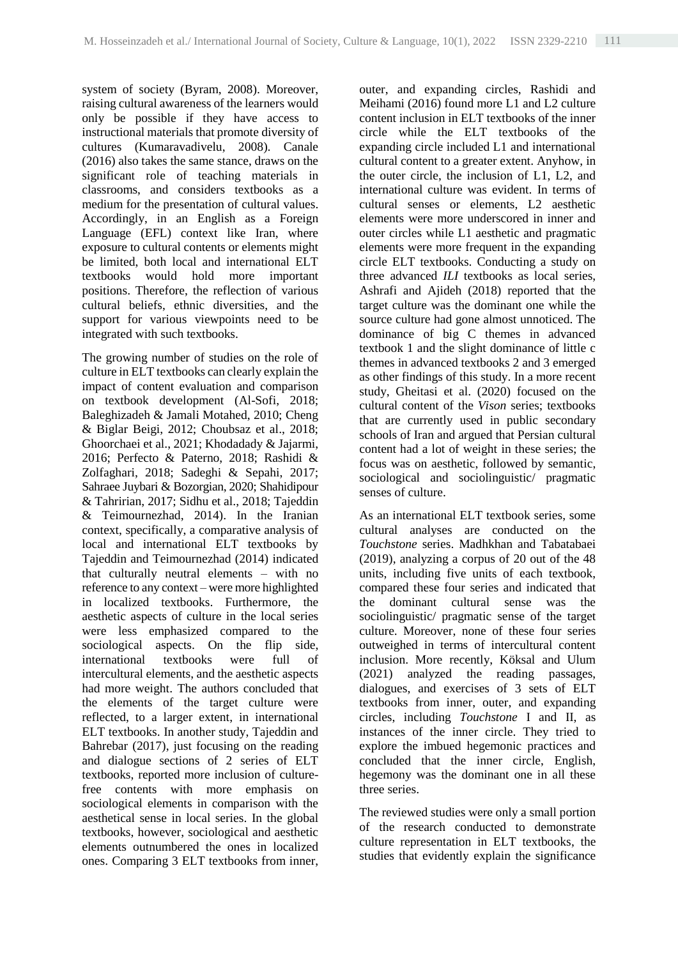system of society (Byram, 2008). Moreover, raising cultural awareness of the learners would only be possible if they have access to instructional materials that promote diversity of cultures (Kumaravadivelu, 2008). Canale (2016) also takes the same stance, draws on the significant role of teaching materials in classrooms, and considers textbooks as a medium for the presentation of cultural values. Accordingly, in an English as a Foreign Language (EFL) context like Iran, where exposure to cultural contents or elements might be limited, both local and international ELT textbooks would hold more important positions. Therefore, the reflection of various cultural beliefs, ethnic diversities, and the support for various viewpoints need to be integrated with such textbooks.

The growing number of studies on the role of culture in ELT textbooks can clearly explain the impact of content evaluation and comparison on textbook development (Al-Sofi, 2018; Baleghizadeh & Jamali Motahed, 2010; Cheng & Biglar Beigi, 2012; Choubsaz et al., 2018; Ghoorchaei et al., 2021; Khodadady & Jajarmi, 2016; Perfecto & Paterno, 2018; Rashidi & Zolfaghari, 2018; Sadeghi & Sepahi, 2017; Sahraee Juybari & Bozorgian, 2020; Shahidipour & Tahririan, 2017; Sidhu et al., 2018; Tajeddin & Teimournezhad, 2014). In the Iranian context, specifically, a comparative analysis of local and international ELT textbooks by Tajeddin and Teimournezhad (2014) indicated that culturally neutral elements – with no reference to any context – were more highlighted in localized textbooks. Furthermore, the aesthetic aspects of culture in the local series were less emphasized compared to the sociological aspects. On the flip side, international textbooks were full of intercultural elements, and the aesthetic aspects had more weight. The authors concluded that the elements of the target culture were reflected, to a larger extent, in international ELT textbooks. In another study, Tajeddin and Bahrebar (2017), just focusing on the reading and dialogue sections of 2 series of ELT textbooks, reported more inclusion of culturefree contents with more emphasis on sociological elements in comparison with the aesthetical sense in local series. In the global textbooks, however, sociological and aesthetic elements outnumbered the ones in localized ones. Comparing 3 ELT textbooks from inner, outer, and expanding circles, Rashidi and Meihami (2016) found more L1 and L2 culture content inclusion in ELT textbooks of the inner circle while the ELT textbooks of the expanding circle included L1 and international cultural content to a greater extent. Anyhow, in the outer circle, the inclusion of L1, L2, and international culture was evident. In terms of cultural senses or elements, L2 aesthetic elements were more underscored in inner and outer circles while L1 aesthetic and pragmatic elements were more frequent in the expanding circle ELT textbooks. Conducting a study on three advanced *ILI* textbooks as local series, Ashrafi and Ajideh (2018) reported that the target culture was the dominant one while the source culture had gone almost unnoticed. The dominance of big C themes in advanced textbook 1 and the slight dominance of little c themes in advanced textbooks 2 and 3 emerged as other findings of this study. In a more recent study, Gheitasi et al. (2020) focused on the cultural content of the *Vison* series; textbooks that are currently used in public secondary schools of Iran and argued that Persian cultural content had a lot of weight in these series; the focus was on aesthetic, followed by semantic, sociological and sociolinguistic/ pragmatic senses of culture.

As an international ELT textbook series, some cultural analyses are conducted on the *Touchstone* series. Madhkhan and Tabatabaei (2019), analyzing a corpus of 20 out of the 48 units, including five units of each textbook, compared these four series and indicated that the dominant cultural sense was the sociolinguistic/ pragmatic sense of the target culture. Moreover, none of these four series outweighed in terms of intercultural content inclusion. More recently, Köksal and Ulum (2021) analyzed the reading passages, dialogues, and exercises of 3 sets of ELT textbooks from inner, outer, and expanding circles, including *Touchstone* I and II, as instances of the inner circle. They tried to explore the imbued hegemonic practices and concluded that the inner circle, English, hegemony was the dominant one in all these three series.

The reviewed studies were only a small portion of the research conducted to demonstrate culture representation in ELT textbooks, the studies that evidently explain the significance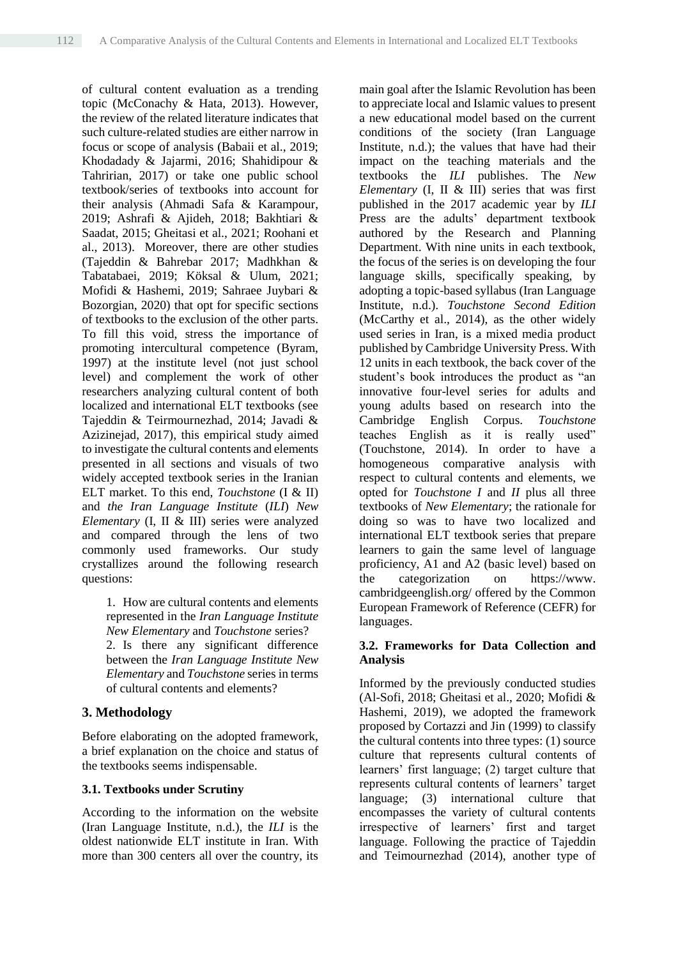of cultural content evaluation as a trending topic (McConachy & Hata, 2013). However, the review of the related literature indicates that such culture-related studies are either narrow in focus or scope of analysis (Babaii et al., 2019; Khodadady & Jajarmi, 2016; Shahidipour & Tahririan, 2017) or take one public school textbook/series of textbooks into account for their analysis (Ahmadi Safa & Karampour, 2019; Ashrafi & Ajideh, 2018; Bakhtiari & Saadat, 2015; Gheitasi et al., 2021; Roohani et al., 2013). Moreover, there are other studies (Tajeddin & Bahrebar 2017; Madhkhan & Tabatabaei, 2019; Köksal & Ulum, 2021; Mofidi & Hashemi, 2019; Sahraee Juybari & Bozorgian, 2020) that opt for specific sections of textbooks to the exclusion of the other parts. To fill this void, stress the importance of promoting intercultural competence (Byram, 1997) at the institute level (not just school level) and complement the work of other researchers analyzing cultural content of both localized and international ELT textbooks (see Tajeddin & Teirmournezhad, 2014; Javadi & Azizinejad, 2017), this empirical study aimed to investigate the cultural contents and elements presented in all sections and visuals of two widely accepted textbook series in the Iranian ELT market. To this end, *Touchstone* (I & II) and *the Iran Language Institute* (*ILI*) *New Elementary* (I, II & III) series were analyzed and compared through the lens of two commonly used frameworks. Our study crystallizes around the following research questions:

> 1. How are cultural contents and elements represented in the *Iran Language Institute New Elementary* and *Touchstone* series? 2. Is there any significant difference between the *Iran Language Institute New Elementary* and *Touchstone* series in terms of cultural contents and elements?

#### **3. Methodology**

Before elaborating on the adopted framework, a brief explanation on the choice and status of the textbooks seems indispensable.

#### **3.1. Textbooks under Scrutiny**

According to the information on the website (Iran Language Institute, n.d.), the *ILI* is the oldest nationwide ELT institute in Iran. With more than 300 centers all over the country, its

main goal after the Islamic Revolution has been to appreciate local and Islamic values to present a new educational model based on the current conditions of the society (Iran Language Institute, n.d.); the values that have had their impact on the teaching materials and the textbooks the *ILI* publishes. The *New Elementary* (I, II & III) series that was first published in the 2017 academic year by *ILI* Press are the adults' department textbook authored by the Research and Planning Department. With nine units in each textbook, the focus of the series is on developing the four language skills, specifically speaking, by adopting a topic-based syllabus (Iran Language Institute, n.d.). *Touchstone Second Edition* (McCarthy et al., 2014), as the other widely used series in Iran, is a mixed media product published by Cambridge University Press. With 12 units in each textbook, the back cover of the student's book introduces the product as "an innovative four-level series for adults and young adults based on research into the Cambridge English Corpus. *Touchstone* teaches English as it is really used" (Touchstone, 2014). In order to have a homogeneous comparative analysis with respect to cultural contents and elements, we opted for *Touchstone I* and *II* plus all three textbooks of *New Elementary*; the rationale for doing so was to have two localized and international ELT textbook series that prepare learners to gain the same level of language proficiency, A1 and A2 (basic level) based on the categorization on https://www. cambridgeenglish.org/ offered by the Common European Framework of Reference (CEFR) for languages.

#### **3.2. Frameworks for Data Collection and Analysis**

Informed by the previously conducted studies (Al-Sofi, 2018; Gheitasi et al., 2020; Mofidi & Hashemi, 2019), we adopted the framework proposed by Cortazzi and Jin (1999) to classify the cultural contents into three types: (1) source culture that represents cultural contents of learners' first language; (2) target culture that represents cultural contents of learners' target language; (3) international culture that encompasses the variety of cultural contents irrespective of learners' first and target language. Following the practice of Tajeddin and Teimournezhad (2014), another type of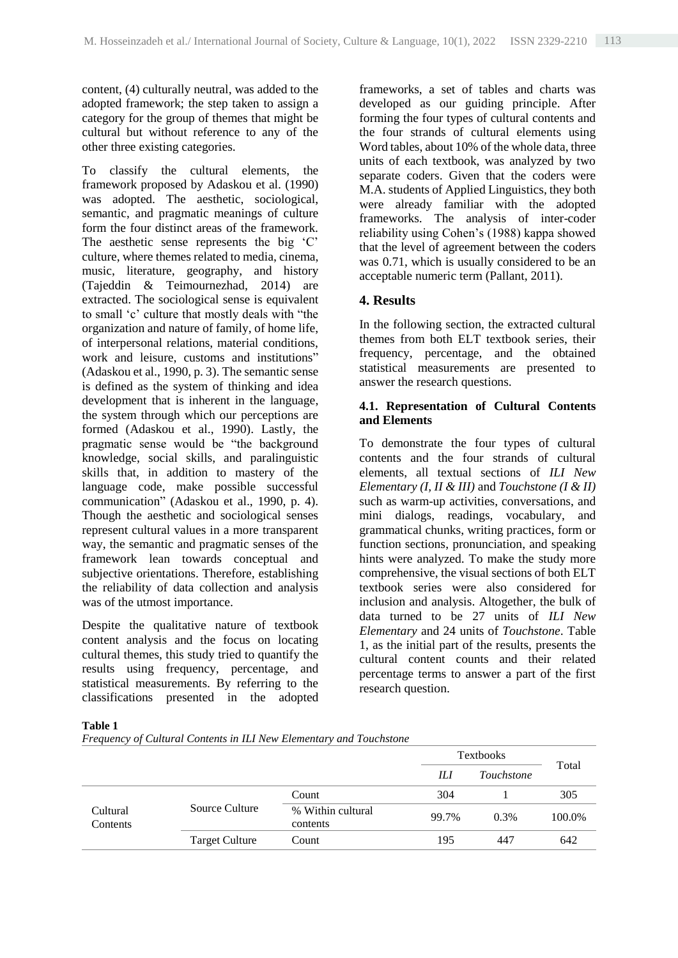content, (4) culturally neutral, was added to the adopted framework; the step taken to assign a category for the group of themes that might be cultural but without reference to any of the other three existing categories.

To classify the cultural elements, the framework proposed by Adaskou et al. (1990) was adopted. The aesthetic, sociological, semantic, and pragmatic meanings of culture form the four distinct areas of the framework. The aesthetic sense represents the big 'C' culture, where themes related to media, cinema, music, literature, geography, and history (Tajeddin & Teimournezhad, 2014) are extracted. The sociological sense is equivalent to small 'c' culture that mostly deals with "the organization and nature of family, of home life, of interpersonal relations, material conditions, work and leisure, customs and institutions" (Adaskou et al., 1990, p. 3). The semantic sense is defined as the system of thinking and idea development that is inherent in the language, the system through which our perceptions are formed (Adaskou et al., 1990). Lastly, the pragmatic sense would be "the background knowledge, social skills, and paralinguistic skills that, in addition to mastery of the language code, make possible successful communication" (Adaskou et al., 1990, p. 4). Though the aesthetic and sociological senses represent cultural values in a more transparent way, the semantic and pragmatic senses of the framework lean towards conceptual and subjective orientations. Therefore, establishing the reliability of data collection and analysis was of the utmost importance.

Despite the qualitative nature of textbook content analysis and the focus on locating cultural themes, this study tried to quantify the results using frequency, percentage, and statistical measurements. By referring to the classifications presented in the adopted frameworks, a set of tables and charts was developed as our guiding principle. After forming the four types of cultural contents and the four strands of cultural elements using Word tables, about 10% of the whole data, three units of each textbook, was analyzed by two separate coders. Given that the coders were M.A. students of Applied Linguistics, they both were already familiar with the adopted frameworks. The analysis of inter-coder reliability using Cohen's (1988) kappa showed that the level of agreement between the coders was 0.71, which is usually considered to be an acceptable numeric term (Pallant, 2011).

# **4. Results**

In the following section, the extracted cultural themes from both ELT textbook series, their frequency, percentage, and the obtained statistical measurements are presented to answer the research questions.

# **4.1. Representation of Cultural Contents and Elements**

To demonstrate the four types of cultural contents and the four strands of cultural elements, all textual sections of *ILI New Elementary (I, II & III)* and *Touchstone (I & II)* such as warm-up activities, conversations, and mini dialogs, readings, vocabulary, and grammatical chunks, writing practices, form or function sections, pronunciation, and speaking hints were analyzed. To make the study more comprehensive, the visual sections of both ELT textbook series were also considered for inclusion and analysis. Altogether, the bulk of data turned to be 27 units of *ILI New Elementary* and 24 units of *Touchstone*. Table 1, as the initial part of the results, presents the cultural content counts and their related percentage terms to answer a part of the first research question.

#### **Table 1**

*Frequency of Cultural Contents in ILI New Elementary and Touchstone*

|                      |                       |                               |       | <b>Textbooks</b>  |        |
|----------------------|-----------------------|-------------------------------|-------|-------------------|--------|
|                      |                       |                               | IЫ    | <i>Touchstone</i> | Total  |
|                      |                       | Count                         | 304   |                   | 305    |
| Cultural<br>Contents | Source Culture        | % Within cultural<br>contents | 99.7% | $0.3\%$           | 100.0% |
|                      | <b>Target Culture</b> | Count                         | 195   | 447               | 642    |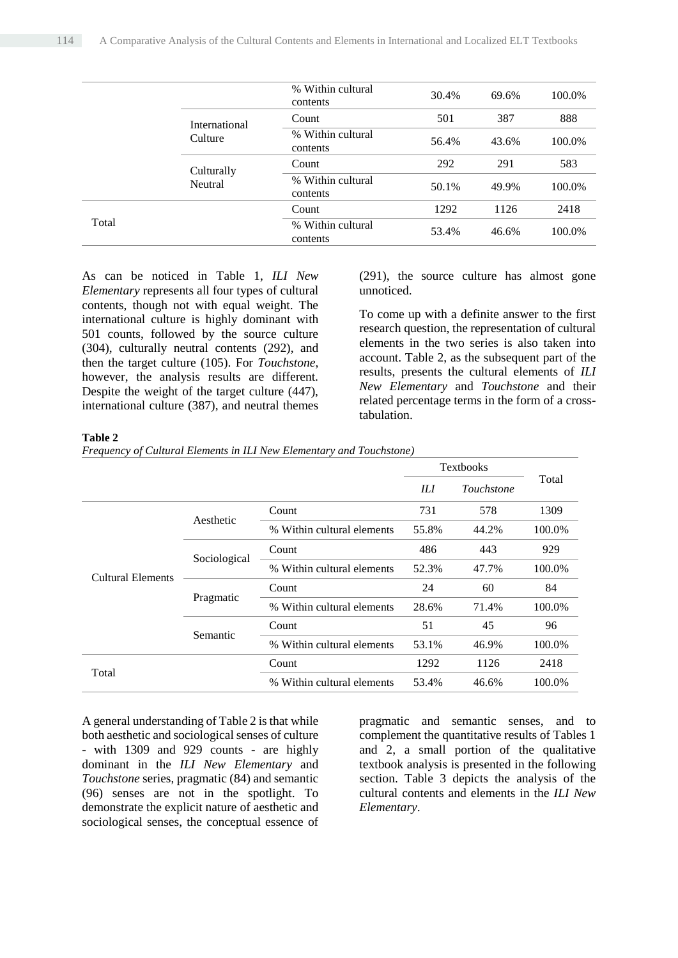|       |               | % Within cultural<br>contents | 30.4% | 69.6% | 100.0% |
|-------|---------------|-------------------------------|-------|-------|--------|
|       | International | Count                         | 501   | 387   | 888    |
|       | Culture       | % Within cultural<br>contents | 56.4% | 43.6% | 100.0% |
|       | Culturally    | Count                         | 292   | 291   | 583    |
|       | Neutral       | % Within cultural<br>contents | 50.1% | 49.9% | 100.0% |
|       |               | Count                         | 1292  | 1126  | 2418   |
| Total |               | % Within cultural<br>contents | 53.4% | 46.6% | 100.0% |

As can be noticed in Table 1, *ILI New Elementary* represents all four types of cultural contents, though not with equal weight. The international culture is highly dominant with 501 counts, followed by the source culture (304), culturally neutral contents (292), and then the target culture (105). For *Touchstone*, however, the analysis results are different. Despite the weight of the target culture (447), international culture (387), and neutral themes (291), the source culture has almost gone unnoticed.

To come up with a definite answer to the first research question, the representation of cultural elements in the two series is also taken into account. Table 2, as the subsequent part of the results, presents the cultural elements of *ILI New Elementary* and *Touchstone* and their related percentage terms in the form of a crosstabulation.

#### **Table 2**

*Frequency of Cultural Elements in ILI New Elementary and Touchstone)*

|                          |              |                            | Textbooks<br>IЫ<br>Touchstone |       |        |
|--------------------------|--------------|----------------------------|-------------------------------|-------|--------|
|                          |              |                            |                               |       | Total  |
|                          | Aesthetic    | Count                      | 731                           | 578   | 1309   |
|                          |              | % Within cultural elements | 55.8%                         | 44.2% | 100.0% |
|                          | Sociological | Count                      | 486                           | 443   | 929    |
| <b>Cultural Elements</b> |              | % Within cultural elements | 52.3%                         | 47.7% | 100.0% |
|                          | Pragmatic    | Count                      | 24                            | 60    | 84     |
|                          |              | % Within cultural elements | 28.6%                         | 71.4% | 100.0% |
|                          |              | Count                      | 51                            | 45    | 96     |
|                          | Semantic     | % Within cultural elements | 53.1%                         | 46.9% | 100.0% |
| Total                    |              | Count                      | 1292                          | 1126  | 2418   |
|                          |              | % Within cultural elements | 53.4%                         | 46.6% | 100.0% |

A general understanding of Table 2 is that while both aesthetic and sociological senses of culture - with 1309 and 929 counts - are highly dominant in the *ILI New Elementary* and *Touchstone* series, pragmatic (84) and semantic (96) senses are not in the spotlight. To demonstrate the explicit nature of aesthetic and sociological senses, the conceptual essence of pragmatic and semantic senses, and to complement the quantitative results of Tables 1 and 2, a small portion of the qualitative textbook analysis is presented in the following section. Table 3 depicts the analysis of the cultural contents and elements in the *ILI New Elementary*.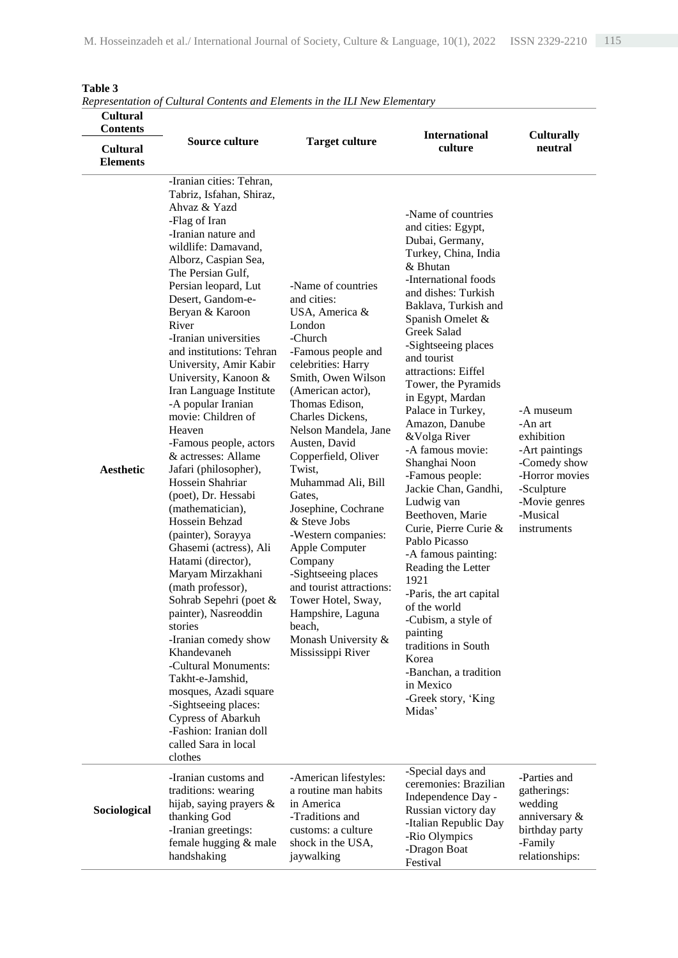| <b>Cultural</b><br><b>Contents</b><br><b>Cultural</b><br><b>Elements</b> | representation of Canarat Contents and Liements in the ILI frew Liemental<br>Source culture                                                                                                                                                                                                                                                                                                                                                                                                                                                                                                                                                                                                                                                                                                                                                                                                                                                                                                                             | <b>Target culture</b>                                                                                                                                                                                                                                                                                                                                                                                                                                                                                                                                          | <b>International</b><br>culture                                                                                                                                                                                                                                                                                                                                                                                                                                                                                                                                                                                                                                                                                                                                                | <b>Culturally</b><br>neutral                                                                                                                     |
|--------------------------------------------------------------------------|-------------------------------------------------------------------------------------------------------------------------------------------------------------------------------------------------------------------------------------------------------------------------------------------------------------------------------------------------------------------------------------------------------------------------------------------------------------------------------------------------------------------------------------------------------------------------------------------------------------------------------------------------------------------------------------------------------------------------------------------------------------------------------------------------------------------------------------------------------------------------------------------------------------------------------------------------------------------------------------------------------------------------|----------------------------------------------------------------------------------------------------------------------------------------------------------------------------------------------------------------------------------------------------------------------------------------------------------------------------------------------------------------------------------------------------------------------------------------------------------------------------------------------------------------------------------------------------------------|--------------------------------------------------------------------------------------------------------------------------------------------------------------------------------------------------------------------------------------------------------------------------------------------------------------------------------------------------------------------------------------------------------------------------------------------------------------------------------------------------------------------------------------------------------------------------------------------------------------------------------------------------------------------------------------------------------------------------------------------------------------------------------|--------------------------------------------------------------------------------------------------------------------------------------------------|
| <b>Aesthetic</b>                                                         | -Iranian cities: Tehran,<br>Tabriz, Isfahan, Shiraz,<br>Ahvaz & Yazd<br>-Flag of Iran<br>-Iranian nature and<br>wildlife: Damavand,<br>Alborz, Caspian Sea,<br>The Persian Gulf,<br>Persian leopard, Lut<br>Desert, Gandom-e-<br>Beryan & Karoon<br>River<br>-Iranian universities<br>and institutions: Tehran<br>University, Amir Kabir<br>University, Kanoon &<br>Iran Language Institute<br>-A popular Iranian<br>movie: Children of<br>Heaven<br>-Famous people, actors<br>& actresses: Allame<br>Jafari (philosopher),<br>Hossein Shahriar<br>(poet), Dr. Hessabi<br>(mathematician),<br>Hossein Behzad<br>(painter), Sorayya<br>Ghasemi (actress), Ali<br>Hatami (director),<br>Maryam Mirzakhani<br>(math professor),<br>Sohrab Sepehri (poet &<br>painter), Nasreoddin<br>stories<br>-Iranian comedy show<br>Khandevaneh<br>-Cultural Monuments:<br>Takht-e-Jamshid,<br>mosques, Azadi square<br>-Sightseeing places:<br><b>Cypress of Abarkuh</b><br>-Fashion: Iranian doll<br>called Sara in local<br>clothes | -Name of countries<br>and cities:<br>USA, America &<br>London<br>-Church<br>-Famous people and<br>celebrities: Harry<br>Smith, Owen Wilson<br>(American actor),<br>Thomas Edison,<br>Charles Dickens,<br>Nelson Mandela, Jane<br>Austen, David<br>Copperfield, Oliver<br>Twist,<br>Muhammad Ali, Bill<br>Gates,<br>Josephine, Cochrane<br>& Steve Jobs<br>-Western companies:<br>Apple Computer<br>Company<br>-Sightseeing places<br>and tourist attractions:<br>Tower Hotel, Sway,<br>Hampshire, Laguna<br>beach,<br>Monash University &<br>Mississippi River | -Name of countries<br>and cities: Egypt,<br>Dubai, Germany,<br>Turkey, China, India<br>& Bhutan<br>-International foods<br>and dishes: Turkish<br>Baklava, Turkish and<br>Spanish Omelet &<br>Greek Salad<br>-Sightseeing places<br>and tourist<br>attractions: Eiffel<br>Tower, the Pyramids<br>in Egypt, Mardan<br>Palace in Turkey,<br>Amazon, Danube<br>&Volga River<br>-A famous movie:<br>Shanghai Noon<br>-Famous people:<br>Jackie Chan, Gandhi,<br>Ludwig van<br>Beethoven, Marie<br>Curie, Pierre Curie &<br>Pablo Picasso<br>-A famous painting:<br>Reading the Letter<br>1921<br>-Paris, the art capital<br>of the world<br>-Cubism, a style of<br>painting<br>traditions in South<br>Korea<br>-Banchan, a tradition<br>in Mexico<br>-Greek story, 'King<br>Midas' | -A museum<br>-An art<br>exhibition<br>-Art paintings<br>-Comedy show<br>-Horror movies<br>-Sculpture<br>-Movie genres<br>-Musical<br>instruments |
| Sociological                                                             | -Iranian customs and<br>traditions: wearing<br>hijab, saying prayers &<br>thanking God<br>-Iranian greetings:<br>female hugging & male<br>handshaking                                                                                                                                                                                                                                                                                                                                                                                                                                                                                                                                                                                                                                                                                                                                                                                                                                                                   | -American lifestyles:<br>a routine man habits<br>in America<br>-Traditions and<br>customs: a culture<br>shock in the USA,<br>jaywalking                                                                                                                                                                                                                                                                                                                                                                                                                        | -Special days and<br>ceremonies: Brazilian<br>Independence Day -<br>Russian victory day<br>-Italian Republic Day<br>-Rio Olympics<br>-Dragon Boat<br>Festival                                                                                                                                                                                                                                                                                                                                                                                                                                                                                                                                                                                                                  | -Parties and<br>gatherings:<br>wedding<br>anniversary &<br>birthday party<br>-Family<br>relationships:                                           |

# **Table 3**

*Representation of Cultural Contents and Elements in the ILI New Elementary*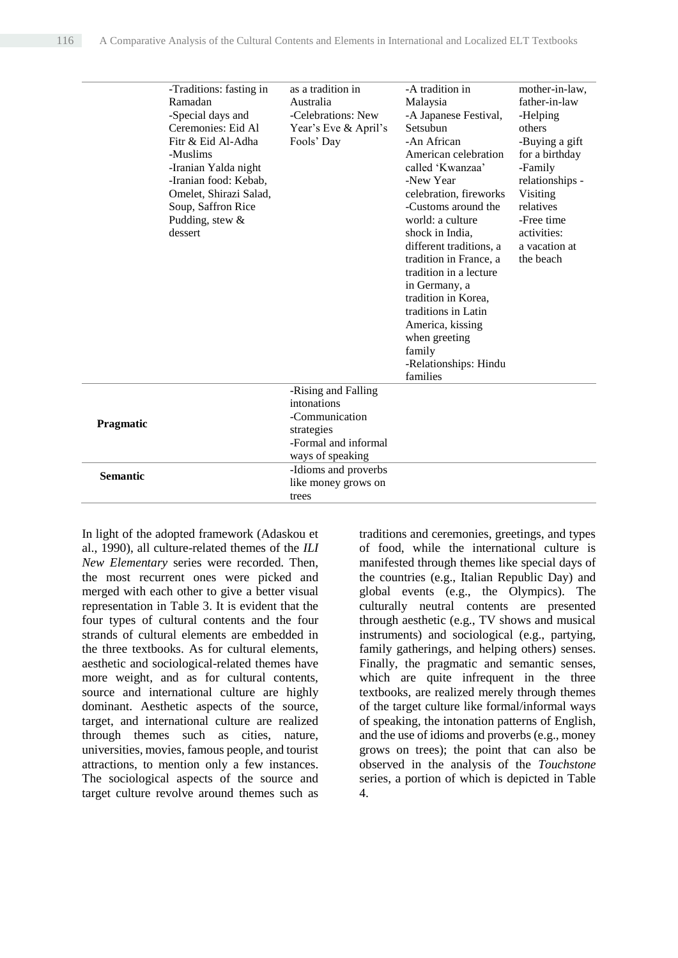|                 | -Traditions: fasting in | as a tradition in    | -A tradition in         | mother-in-law,  |
|-----------------|-------------------------|----------------------|-------------------------|-----------------|
|                 | Ramadan                 | Australia            | Malaysia                | father-in-law   |
|                 | -Special days and       | -Celebrations: New   | -A Japanese Festival,   | -Helping        |
|                 | Ceremonies: Eid Al      | Year's Eve & April's | Setsubun                | others          |
|                 | Fitr & Eid Al-Adha      | Fools' Day           | -An African             | -Buying a gift  |
|                 | -Muslims                |                      | American celebration    | for a birthday  |
|                 | -Iranian Yalda night    |                      | called 'Kwanzaa'        | -Family         |
|                 | -Iranian food: Kebab,   |                      | -New Year               | relationships - |
|                 | Omelet, Shirazi Salad,  |                      | celebration, fireworks  | Visiting        |
|                 | Soup, Saffron Rice      |                      | -Customs around the     | relatives       |
|                 | Pudding, stew $&$       |                      | world: a culture        | -Free time      |
|                 | dessert                 |                      | shock in India.         | activities:     |
|                 |                         |                      | different traditions, a | a vacation at   |
|                 |                         |                      | tradition in France, a  | the beach       |
|                 |                         |                      | tradition in a lecture  |                 |
|                 |                         |                      | in Germany, a           |                 |
|                 |                         |                      | tradition in Korea.     |                 |
|                 |                         |                      | traditions in Latin     |                 |
|                 |                         |                      | America, kissing        |                 |
|                 |                         |                      | when greeting           |                 |
|                 |                         |                      | family                  |                 |
|                 |                         |                      | -Relationships: Hindu   |                 |
|                 |                         |                      | families                |                 |
|                 |                         | -Rising and Falling  |                         |                 |
|                 |                         | intonations          |                         |                 |
| Pragmatic       |                         | -Communication       |                         |                 |
|                 |                         | strategies           |                         |                 |
|                 |                         | -Formal and informal |                         |                 |
|                 |                         | ways of speaking     |                         |                 |
| <b>Semantic</b> |                         | -Idioms and proverbs |                         |                 |
|                 |                         | like money grows on  |                         |                 |
|                 |                         | trees                |                         |                 |

In light of the adopted framework (Adaskou et al., 1990), all culture-related themes of the *ILI New Elementary* series were recorded. Then, the most recurrent ones were picked and merged with each other to give a better visual representation in Table 3. It is evident that the four types of cultural contents and the four strands of cultural elements are embedded in the three textbooks. As for cultural elements, aesthetic and sociological-related themes have more weight, and as for cultural contents, source and international culture are highly dominant. Aesthetic aspects of the source, target, and international culture are realized through themes such as cities, nature, universities, movies, famous people, and tourist attractions, to mention only a few instances. The sociological aspects of the source and target culture revolve around themes such as traditions and ceremonies, greetings, and types of food, while the international culture is manifested through themes like special days of the countries (e.g., Italian Republic Day) and global events (e.g., the Olympics). The culturally neutral contents are presented through aesthetic (e.g., TV shows and musical instruments) and sociological (e.g., partying, family gatherings, and helping others) senses. Finally, the pragmatic and semantic senses, which are quite infrequent in the three textbooks, are realized merely through themes of the target culture like formal/informal ways of speaking, the intonation patterns of English, and the use of idioms and proverbs (e.g., money grows on trees); the point that can also be observed in the analysis of the *Touchstone* series, a portion of which is depicted in Table 4.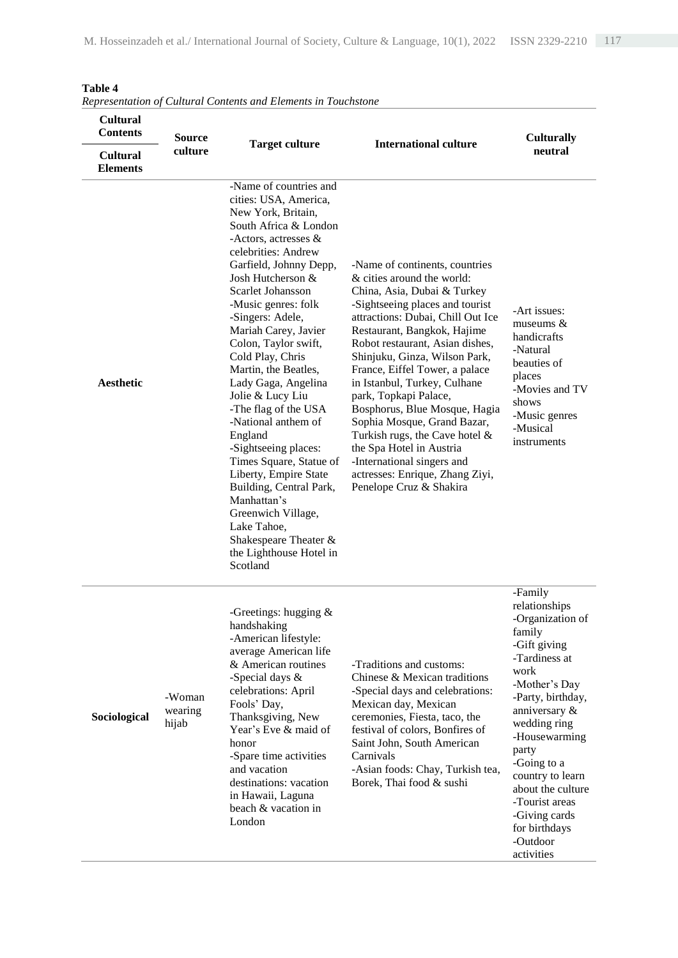| Cultural<br><b>Contents</b><br><b>Source</b> |                            |                                                                                                                                                                                                                                                                                                                                                                                                                                                                                                                                                                                                                                                                                          |                                                                                                                                                                                                                                                                                                                                                                                                                                                                                                                                                                                                | <b>Culturally</b>                                                                                                                                                                                                                                                                                                                      |  |
|----------------------------------------------|----------------------------|------------------------------------------------------------------------------------------------------------------------------------------------------------------------------------------------------------------------------------------------------------------------------------------------------------------------------------------------------------------------------------------------------------------------------------------------------------------------------------------------------------------------------------------------------------------------------------------------------------------------------------------------------------------------------------------|------------------------------------------------------------------------------------------------------------------------------------------------------------------------------------------------------------------------------------------------------------------------------------------------------------------------------------------------------------------------------------------------------------------------------------------------------------------------------------------------------------------------------------------------------------------------------------------------|----------------------------------------------------------------------------------------------------------------------------------------------------------------------------------------------------------------------------------------------------------------------------------------------------------------------------------------|--|
| <b>Cultural</b><br><b>Elements</b>           | culture                    | <b>Target culture</b>                                                                                                                                                                                                                                                                                                                                                                                                                                                                                                                                                                                                                                                                    | <b>International culture</b>                                                                                                                                                                                                                                                                                                                                                                                                                                                                                                                                                                   | neutral                                                                                                                                                                                                                                                                                                                                |  |
| Aesthetic                                    |                            | -Name of countries and<br>cities: USA, America,<br>New York, Britain,<br>South Africa & London<br>-Actors, actresses &<br>celebrities: Andrew<br>Garfield, Johnny Depp,<br>Josh Hutcherson &<br>Scarlet Johansson<br>-Music genres: folk<br>-Singers: Adele,<br>Mariah Carey, Javier<br>Colon, Taylor swift,<br>Cold Play, Chris<br>Martin, the Beatles,<br>Lady Gaga, Angelina<br>Jolie & Lucy Liu<br>-The flag of the USA<br>-National anthem of<br>England<br>-Sightseeing places:<br>Times Square, Statue of<br>Liberty, Empire State<br>Building, Central Park,<br>Manhattan's<br>Greenwich Village,<br>Lake Tahoe,<br>Shakespeare Theater &<br>the Lighthouse Hotel in<br>Scotland | -Name of continents, countries<br>& cities around the world:<br>China, Asia, Dubai & Turkey<br>-Sightseeing places and tourist<br>attractions: Dubai, Chill Out Ice<br>Restaurant, Bangkok, Hajime<br>Robot restaurant, Asian dishes,<br>Shinjuku, Ginza, Wilson Park,<br>France, Eiffel Tower, a palace<br>in Istanbul, Turkey, Culhane<br>park, Topkapi Palace,<br>Bosphorus, Blue Mosque, Hagia<br>Sophia Mosque, Grand Bazar,<br>Turkish rugs, the Cave hotel $\&$<br>the Spa Hotel in Austria<br>-International singers and<br>actresses: Enrique, Zhang Ziyi,<br>Penelope Cruz & Shakira | -Art issues:<br>museums &<br>handicrafts<br>-Natural<br>beauties of<br>places<br>-Movies and TV<br>shows<br>-Music genres<br>-Musical<br>instruments                                                                                                                                                                                   |  |
| Sociological                                 | -Woman<br>wearing<br>hijab | -Greetings: hugging $\&$<br>handshaking<br>-American lifestyle:<br>average American life<br>& American routines<br>-Special days &<br>celebrations: April<br>Fools' Day,<br>Thanksgiving, New<br>Year's Eve & maid of<br>honor<br>-Spare time activities<br>and vacation<br>destinations: vacation<br>in Hawaii, Laguna<br>beach & vacation in<br>London                                                                                                                                                                                                                                                                                                                                 | -Traditions and customs:<br>Chinese & Mexican traditions<br>-Special days and celebrations:<br>Mexican day, Mexican<br>ceremonies, Fiesta, taco, the<br>festival of colors, Bonfires of<br>Saint John, South American<br>Carnivals<br>-Asian foods: Chay, Turkish tea,<br>Borek, Thai food & sushi                                                                                                                                                                                                                                                                                             | -Family<br>relationships<br>-Organization of<br>family<br>-Gift giving<br>-Tardiness at<br>work<br>-Mother's Day<br>-Party, birthday,<br>anniversary &<br>wedding ring<br>-Housewarming<br>party<br>-Going to a<br>country to learn<br>about the culture<br>-Tourist areas<br>-Giving cards<br>for birthdays<br>-Outdoor<br>activities |  |

# **Table 4**

*Representation of Cultural Contents and Elements in Touchstone*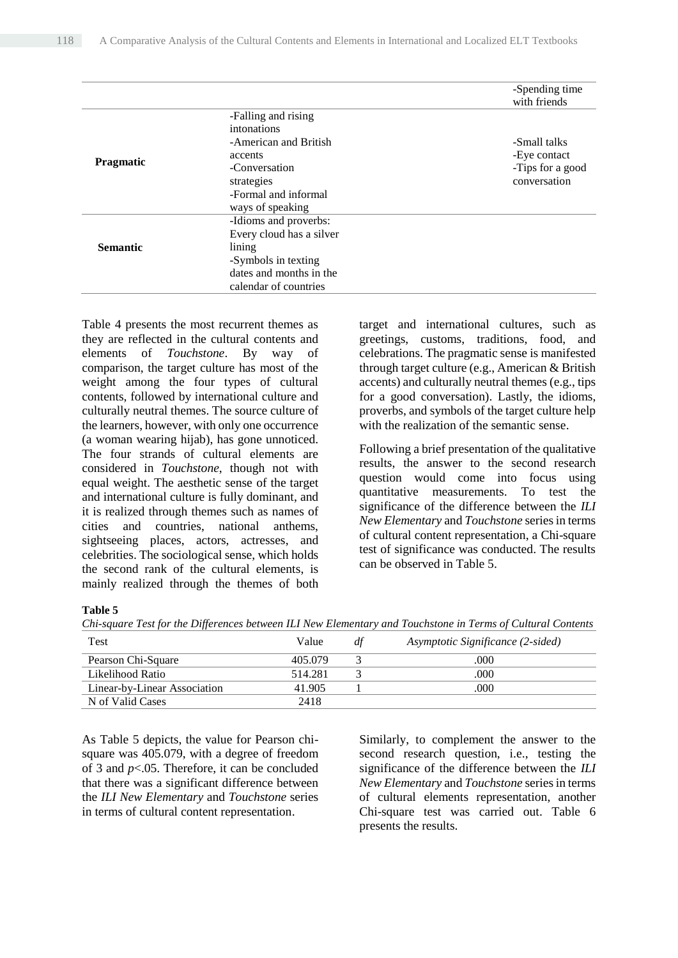|                  |                          | -Spending time<br>with friends |
|------------------|--------------------------|--------------------------------|
|                  | -Falling and rising      |                                |
|                  | intonations              |                                |
|                  | -American and British    | -Small talks                   |
|                  | accents                  | -Eye contact                   |
| <b>Pragmatic</b> | -Conversation            | -Tips for a good               |
|                  | strategies               | conversation                   |
|                  | -Formal and informal     |                                |
|                  | ways of speaking         |                                |
|                  | -Idioms and proverbs:    |                                |
|                  | Every cloud has a silver |                                |
| <b>Semantic</b>  | lining                   |                                |
|                  | -Symbols in texting      |                                |
|                  | dates and months in the  |                                |
|                  | calendar of countries    |                                |

Table 4 presents the most recurrent themes as they are reflected in the cultural contents and elements of *Touchstone*. By way of comparison, the target culture has most of the weight among the four types of cultural contents, followed by international culture and culturally neutral themes. The source culture of the learners, however, with only one occurrence (a woman wearing hijab), has gone unnoticed. The four strands of cultural elements are considered in *Touchstone*, though not with equal weight. The aesthetic sense of the target and international culture is fully dominant, and it is realized through themes such as names of cities and countries, national anthems, sightseeing places, actors, actresses, and celebrities. The sociological sense, which holds the second rank of the cultural elements, is mainly realized through the themes of both target and international cultures, such as greetings, customs, traditions, food, and celebrations. The pragmatic sense is manifested through target culture (e.g., American & British accents) and culturally neutral themes (e.g., tips for a good conversation). Lastly, the idioms, proverbs, and symbols of the target culture help with the realization of the semantic sense.

Following a brief presentation of the qualitative results, the answer to the second research question would come into focus using quantitative measurements. To test the significance of the difference between the *ILI New Elementary* and *Touchstone* series in terms of cultural content representation, a Chi-square test of significance was conducted. The results can be observed in Table 5.

#### **Table 5**

*Chi-square Test for the Differences between ILI New Elementary and Touchstone in Terms of Cultural Contents*

| Test                         | Value   | df | Asymptotic Significance (2-sided) |
|------------------------------|---------|----|-----------------------------------|
| Pearson Chi-Square           | 405.079 |    | .000                              |
| Likelihood Ratio             | 514.281 |    | .000                              |
| Linear-by-Linear Association | 41.905  |    | .000                              |
| N of Valid Cases             | 2418    |    |                                   |

As Table 5 depicts, the value for Pearson chisquare was 405.079, with a degree of freedom of 3 and *p*<.05. Therefore, it can be concluded that there was a significant difference between the *ILI New Elementary* and *Touchstone* series in terms of cultural content representation.

Similarly, to complement the answer to the second research question, i.e., testing the significance of the difference between the *ILI New Elementary* and *Touchstone* series in terms of cultural elements representation, another Chi-square test was carried out. Table 6 presents the results.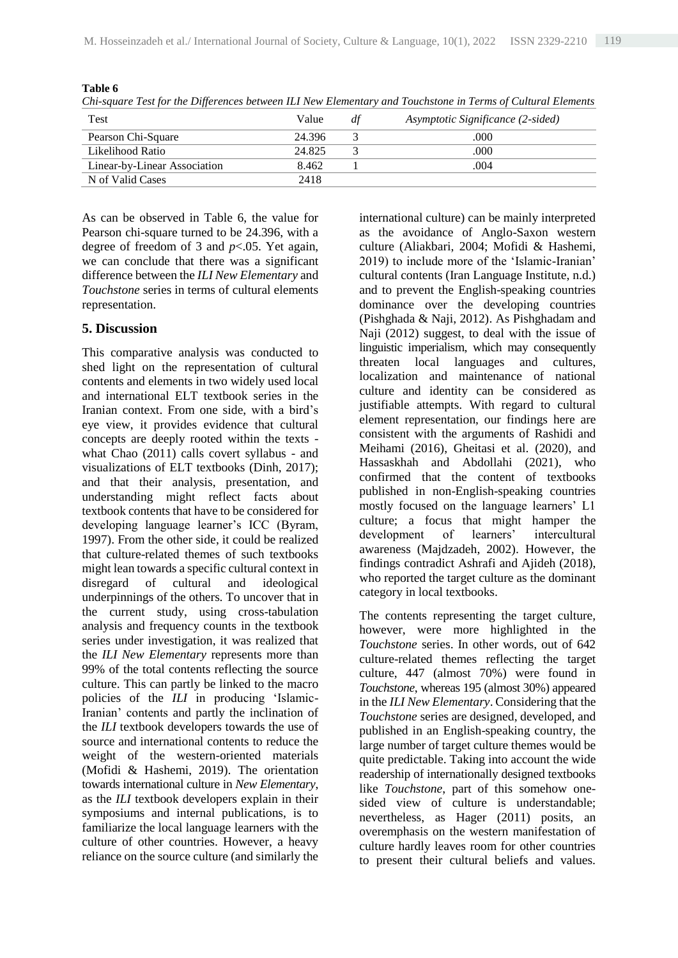| Test                         | Value  | df | Asymptotic Significance (2-sided) |
|------------------------------|--------|----|-----------------------------------|
| Pearson Chi-Square           | 24.396 |    | .000                              |
| Likelihood Ratio             | 24.825 |    | .000                              |
| Linear-by-Linear Association | 8.462  |    | .004                              |
| N of Valid Cases             | 2418   |    |                                   |

*Chi-square Test for the Differences between ILI New Elementary and Touchstone in Terms of Cultural Elements*

As can be observed in Table 6, the value for Pearson chi-square turned to be 24.396, with a degree of freedom of 3 and *p*<.05. Yet again, we can conclude that there was a significant difference between the *ILI New Elementary* and *Touchstone* series in terms of cultural elements representation.

## **5. Discussion**

**Table 6**

This comparative analysis was conducted to shed light on the representation of cultural contents and elements in two widely used local and international ELT textbook series in the Iranian context. From one side, with a bird's eye view, it provides evidence that cultural concepts are deeply rooted within the texts what Chao (2011) calls covert syllabus - and visualizations of ELT textbooks (Dinh, 2017); and that their analysis, presentation, and understanding might reflect facts about textbook contents that have to be considered for developing language learner's ICC (Byram, 1997). From the other side, it could be realized that culture-related themes of such textbooks might lean towards a specific cultural context in disregard of cultural and ideological underpinnings of the others. To uncover that in the current study, using cross-tabulation analysis and frequency counts in the textbook series under investigation, it was realized that the *ILI New Elementary* represents more than 99% of the total contents reflecting the source culture. This can partly be linked to the macro policies of the *ILI* in producing 'Islamic-Iranian' contents and partly the inclination of the *ILI* textbook developers towards the use of source and international contents to reduce the weight of the western-oriented materials (Mofidi & Hashemi, 2019). The orientation towards international culture in *New Elementary*, as the *ILI* textbook developers explain in their symposiums and internal publications, is to familiarize the local language learners with the culture of other countries. However, a heavy reliance on the source culture (and similarly the

international culture) can be mainly interpreted as the avoidance of Anglo-Saxon western culture (Aliakbari, 2004; Mofidi & Hashemi, 2019) to include more of the 'Islamic-Iranian' cultural contents (Iran Language Institute, n.d.) and to prevent the English-speaking countries dominance over the developing countries (Pishghada & Naji, 2012). As Pishghadam and Naji (2012) suggest, to deal with the issue of linguistic imperialism, which may consequently threaten local languages and cultures, localization and maintenance of national culture and identity can be considered as justifiable attempts. With regard to cultural element representation, our findings here are consistent with the arguments of Rashidi and Meihami (2016), Gheitasi et al. (2020), and Hassaskhah and Abdollahi (2021), who confirmed that the content of textbooks published in non-English-speaking countries mostly focused on the language learners' L1 culture; a focus that might hamper the development of learners' intercultural awareness (Majdzadeh, 2002). However, the findings contradict Ashrafi and Ajideh (2018), who reported the target culture as the dominant category in local textbooks.

The contents representing the target culture, however, were more highlighted in the *Touchstone* series. In other words, out of 642 culture-related themes reflecting the target culture, 447 (almost 70%) were found in *Touchstone*, whereas 195 (almost 30%) appeared in the *ILI New Elementary*. Considering that the *Touchstone* series are designed, developed, and published in an English-speaking country, the large number of target culture themes would be quite predictable. Taking into account the wide readership of internationally designed textbooks like *Touchstone*, part of this somehow onesided view of culture is understandable; nevertheless, as Hager (2011) posits, an overemphasis on the western manifestation of culture hardly leaves room for other countries to present their cultural beliefs and values.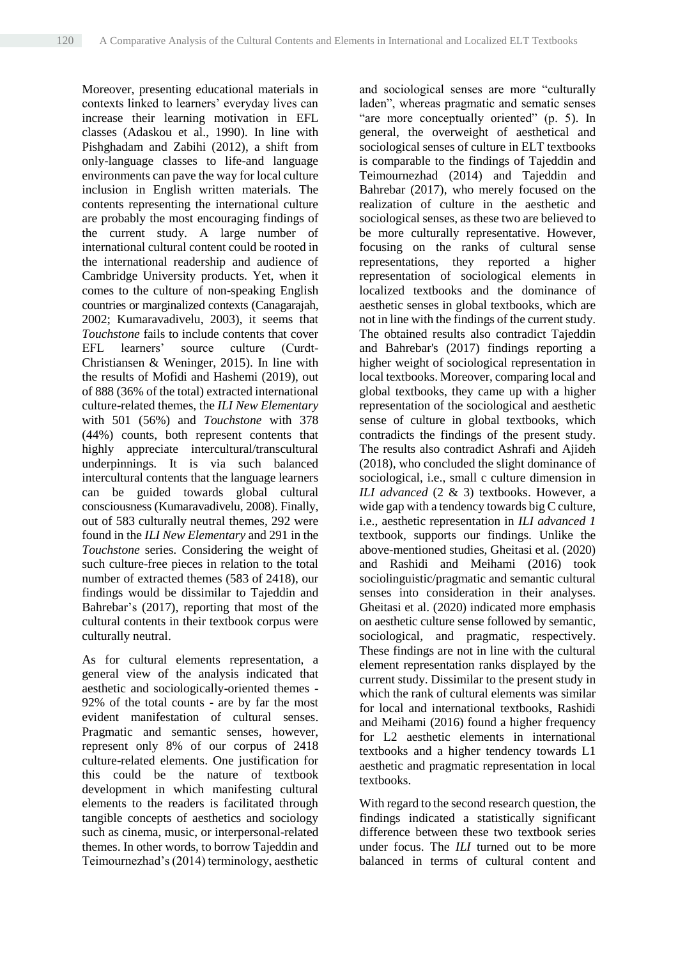Moreover, presenting educational materials in contexts linked to learners' everyday lives can increase their learning motivation in EFL classes (Adaskou et al., 1990). In line with Pishghadam and Zabihi (2012), a shift from only-language classes to life-and language environments can pave the way for local culture inclusion in English written materials. The contents representing the international culture are probably the most encouraging findings of the current study. A large number of international cultural content could be rooted in the international readership and audience of Cambridge University products. Yet, when it comes to the culture of non-speaking English countries or marginalized contexts (Canagarajah, 2002; Kumaravadivelu, 2003), it seems that *Touchstone* fails to include contents that cover EFL learners' source culture (Curdt-Christiansen & Weninger, 2015). In line with the results of Mofidi and Hashemi (2019), out of 888 (36% of the total) extracted international culture-related themes, the *ILI New Elementary*  with 501 (56%) and *Touchstone* with 378 (44%) counts, both represent contents that highly appreciate intercultural/transcultural underpinnings. It is via such balanced intercultural contents that the language learners can be guided towards global cultural consciousness (Kumaravadivelu, 2008). Finally, out of 583 culturally neutral themes, 292 were found in the *ILI New Elementary* and 291 in the *Touchstone* series. Considering the weight of such culture-free pieces in relation to the total number of extracted themes (583 of 2418), our findings would be dissimilar to Tajeddin and Bahrebar's (2017), reporting that most of the cultural contents in their textbook corpus were culturally neutral.

As for cultural elements representation, a general view of the analysis indicated that aesthetic and sociologically-oriented themes - 92% of the total counts - are by far the most evident manifestation of cultural senses. Pragmatic and semantic senses, however, represent only 8% of our corpus of 2418 culture-related elements. One justification for this could be the nature of textbook development in which manifesting cultural elements to the readers is facilitated through tangible concepts of aesthetics and sociology such as cinema, music, or interpersonal-related themes. In other words, to borrow Tajeddin and Teimournezhad's (2014) terminology, aesthetic

and sociological senses are more "culturally laden", whereas pragmatic and sematic senses "are more conceptually oriented" (p. 5). In general, the overweight of aesthetical and sociological senses of culture in ELT textbooks is comparable to the findings of Tajeddin and Teimournezhad (2014) and Tajeddin and Bahrebar (2017), who merely focused on the realization of culture in the aesthetic and sociological senses, as these two are believed to be more culturally representative. However, focusing on the ranks of cultural sense representations, they reported a higher representation of sociological elements in localized textbooks and the dominance of aesthetic senses in global textbooks, which are not in line with the findings of the current study. The obtained results also contradict Tajeddin and Bahrebar's (2017) findings reporting a higher weight of sociological representation in local textbooks. Moreover, comparing local and global textbooks, they came up with a higher representation of the sociological and aesthetic sense of culture in global textbooks, which contradicts the findings of the present study. The results also contradict Ashrafi and Ajideh (2018), who concluded the slight dominance of sociological, i.e., small c culture dimension in *ILI advanced* (2 & 3) textbooks. However, a wide gap with a tendency towards big C culture, i.e., aesthetic representation in *ILI advanced 1*  textbook, supports our findings. Unlike the above-mentioned studies, Gheitasi et al. (2020) and Rashidi and Meihami (2016) took sociolinguistic/pragmatic and semantic cultural senses into consideration in their analyses. Gheitasi et al. (2020) indicated more emphasis on aesthetic culture sense followed by semantic, sociological, and pragmatic, respectively. These findings are not in line with the cultural element representation ranks displayed by the current study. Dissimilar to the present study in which the rank of cultural elements was similar for local and international textbooks, Rashidi and Meihami (2016) found a higher frequency for L2 aesthetic elements in international textbooks and a higher tendency towards L1 aesthetic and pragmatic representation in local textbooks.

With regard to the second research question, the findings indicated a statistically significant difference between these two textbook series under focus. The *ILI* turned out to be more balanced in terms of cultural content and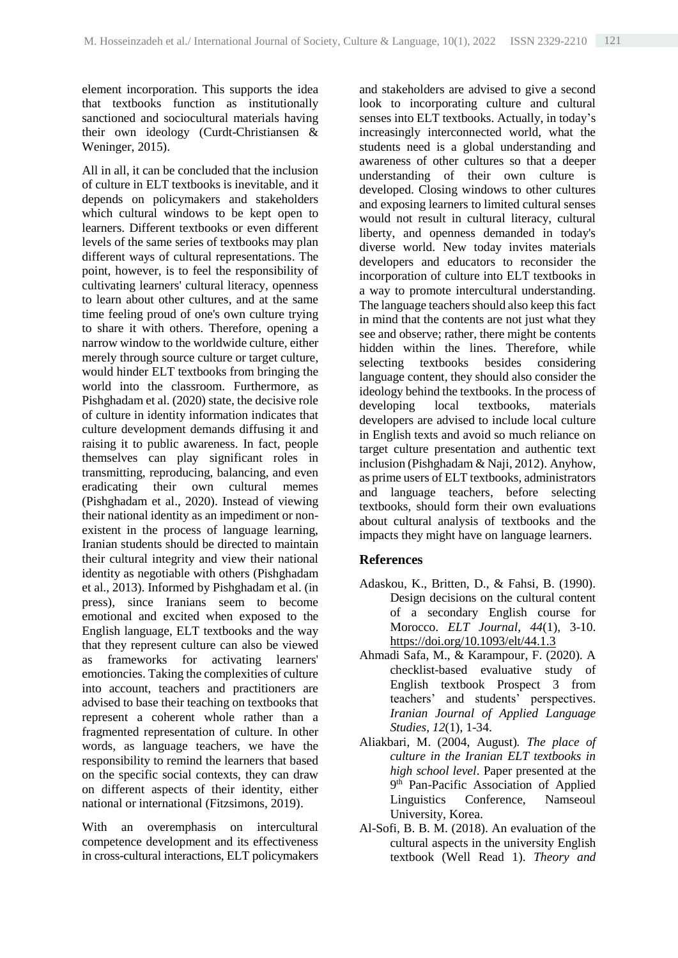element incorporation. This supports the idea that textbooks function as institutionally sanctioned and sociocultural materials having their own ideology (Curdt-Christiansen & Weninger, 2015).

All in all, it can be concluded that the inclusion of culture in ELT textbooks is inevitable, and it depends on policymakers and stakeholders which cultural windows to be kept open to learners. Different textbooks or even different levels of the same series of textbooks may plan different ways of cultural representations. The point, however, is to feel the responsibility of cultivating learners' cultural literacy, openness to learn about other cultures, and at the same time feeling proud of one's own culture trying to share it with others. Therefore, opening a narrow window to the worldwide culture, either merely through source culture or target culture, would hinder ELT textbooks from bringing the world into the classroom. Furthermore, as Pishghadam et al. (2020) state, the decisive role of culture in identity information indicates that culture development demands diffusing it and raising it to public awareness. In fact, people themselves can play significant roles in transmitting, reproducing, balancing, and even eradicating their own cultural memes (Pishghadam et al., 2020). Instead of viewing their national identity as an impediment or nonexistent in the process of language learning, Iranian students should be directed to maintain their cultural integrity and view their national identity as negotiable with others (Pishghadam et al., 2013). Informed by Pishghadam et al. (in press), since Iranians seem to become emotional and excited when exposed to the English language, ELT textbooks and the way that they represent culture can also be viewed as frameworks for activating learners' emotioncies. Taking the complexities of culture into account, teachers and practitioners are advised to base their teaching on textbooks that represent a coherent whole rather than a fragmented representation of culture. In other words, as language teachers, we have the responsibility to remind the learners that based on the specific social contexts, they can draw on different aspects of their identity, either national or international (Fitzsimons, 2019).

With an overemphasis on intercultural competence development and its effectiveness in cross-cultural interactions, ELT policymakers and stakeholders are advised to give a second look to incorporating culture and cultural senses into ELT textbooks. Actually, in today's increasingly interconnected world, what the students need is a global understanding and awareness of other cultures so that a deeper understanding of their own culture is developed. Closing windows to other cultures and exposing learners to limited cultural senses would not result in cultural literacy, cultural liberty, and openness demanded in today's diverse world. New today invites materials developers and educators to reconsider the incorporation of culture into ELT textbooks in a way to promote intercultural understanding. The language teachers should also keep this fact in mind that the contents are not just what they see and observe; rather, there might be contents hidden within the lines. Therefore, while selecting textbooks besides considering language content, they should also consider the ideology behind the textbooks. In the process of developing local textbooks, materials developers are advised to include local culture in English texts and avoid so much reliance on target culture presentation and authentic text inclusion (Pishghadam & Naji, 2012). Anyhow, as prime users of ELT textbooks, administrators and language teachers, before selecting textbooks, should form their own evaluations about cultural analysis of textbooks and the impacts they might have on language learners.

## **References**

- Adaskou, K., Britten, D., & Fahsi, B. (1990). Design decisions on the cultural content of a secondary English course for Morocco. *ELT Journal, 44*(1), 3-10. <https://doi.org/10.1093/elt/44.1.3>
- Ahmadi Safa, M., & Karampour, F. (2020). A checklist-based evaluative study of English textbook Prospect 3 from teachers' and students' perspectives. *Iranian Journal of Applied Language Studies, 12*(1), 1-34.
- Aliakbari, M. (2004, August)*. The place of culture in the Iranian ELT textbooks in high school level*. Paper presented at the 9<sup>th</sup> Pan-Pacific Association of Applied Linguistics Conference, Namseoul University, Korea.
- Al-Sofi, B. B. M. (2018). An evaluation of the cultural aspects in the university English textbook (Well Read 1). *Theory and*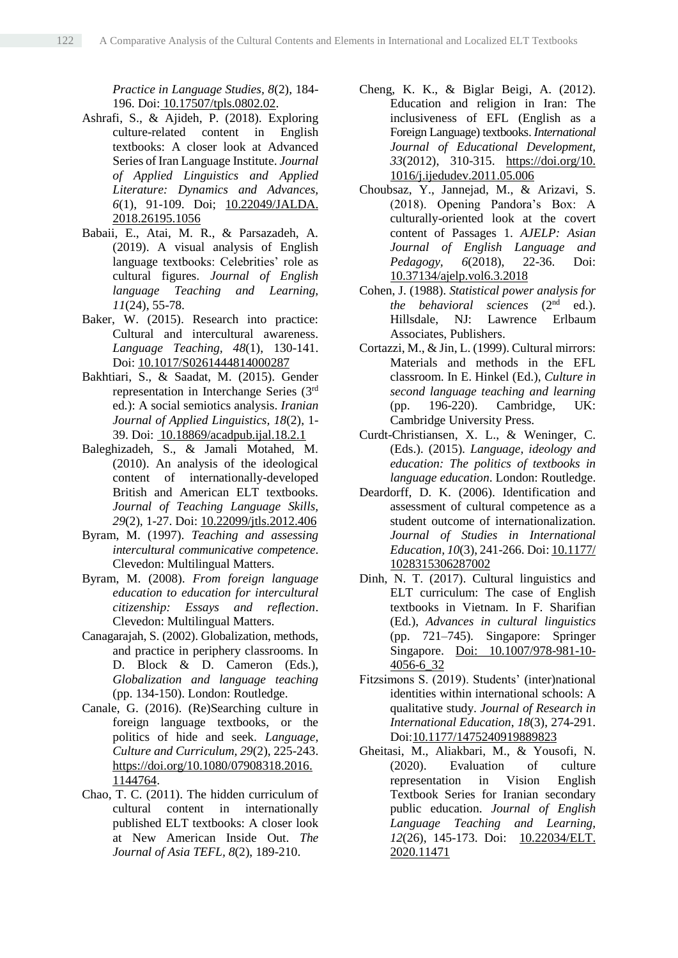*Practice in Language Studies, 8*(2), 184- 196. Doi: [10.17507/tpls.0802.02.](doi:%2010.17507/tpls.0802.02)

- Ashrafi, S., & Ajideh, P. (2018). Exploring culture-related content in English textbooks: A closer look at Advanced Series of Iran Language Institute. *Journal of Applied Linguistics and Applied Literature: Dynamics and Advances, 6*(1), 91-109. Doi; [10.22049/JALDA.](https://dx.doi.org/10.22049/jalda.2018.26195.1056) [2018.26195.1056](https://dx.doi.org/10.22049/jalda.2018.26195.1056)
- Babaii, E., Atai, M. R., & Parsazadeh, A. (2019). A visual analysis of English language textbooks: Celebrities' role as cultural figures. *Journal of English language Teaching and Learning, 11*(24), 55-78.
- Baker, W. (2015). Research into practice: Cultural and intercultural awareness. *Language Teaching, 48*(1), 130-141. Doi: [10.1017/S0261444814000287](http://dx.doi.org/10.1017/S0261444814000287)
- Bakhtiari, S., & Saadat, M. (2015). Gender representation in Interchange Series (3rd ed*.*): A social semiotics analysis. *Iranian Journal of Applied Linguistics, 18*(2), 1- 39. Doi: [10.18869/acadpub.ijal.18.2.1](http://dx.doi.org/10.18869/acadpub.ijal.18.2.1)
- Baleghizadeh, S., & Jamali Motahed, M. (2010). An analysis of the ideological content of internationally-developed British and American ELT textbooks. *Journal of Teaching Language Skills, 29*(2), 1-27. Doi: [10.22099/jtls.2012.406](https://dx.doi.org/10.22099/jtls.2012.406)
- Byram, M. (1997). *Teaching and assessing intercultural communicative competence*. Clevedon: Multilingual Matters.
- Byram, M. (2008). *From foreign language education to education for intercultural citizenship: Essays and reflection*. Clevedon: Multilingual Matters.
- Canagarajah, S. (2002). Globalization, methods, and practice in periphery classrooms. In D. Block & D. Cameron (Eds.), *Globalization and language teaching* (pp. 134-150). London: Routledge.
- Canale, G. (2016). (Re)Searching culture in foreign language textbooks, or the politics of hide and seek. *Language, Culture and Curriculum, 29*(2), 225-243. [https://doi.org/10.1080/07908318.2016.](https://doi.org/10.1080/07908318.2016.1144764) [1144764.](https://doi.org/10.1080/07908318.2016.1144764)
- Chao, T. C. (2011). The hidden curriculum of cultural content in internationally published ELT textbooks: A closer look at New American Inside Out. *The Journal of Asia TEFL, 8*(2), 189-210.
- Cheng, K. K., & Biglar Beigi, A. (2012). Education and religion in Iran: The inclusiveness of EFL (English as a Foreign Language) textbooks. *International Journal of Educational Development, 33*(2012), 310-315. [https://doi.org/10.](https://doi.org/10.%201016/j.ijedudev.2011.05.006)  [1016/j.ijedudev.2011.05.006](https://doi.org/10.%201016/j.ijedudev.2011.05.006)
- Choubsaz, Y., Jannejad, M., & Arizavi, S. (2018). Opening Pandora's Box: A culturally-oriented look at the covert content of Passages 1. *AJELP: Asian Journal of English Language and Pedagogy, 6*(2018), 22-36. Doi: [10.37134/ajelp.vol6.3.2018](http://dx.doi.org/10.37134/ajelp.vol6.3.2018)
- Cohen, J. (1988). *Statistical power analysis for the behavioral sciences* (2nd ed.). Hillsdale, NJ: Lawrence Erlbaum Associates, Publishers.
- Cortazzi, M., & Jin, L. (1999). Cultural mirrors: Materials and methods in the EFL classroom. In E. Hinkel (Ed.), *Culture in second language teaching and learning*  (pp. 196-220). Cambridge, UK: Cambridge University Press.
- Curdt-Christiansen, X. L., & Weninger, C. (Eds.). (2015). *Language, ideology and education: The politics of textbooks in language education*. London: Routledge.
- Deardorff, D. K. (2006). Identification and assessment of cultural competence as a student outcome of internationalization. *Journal of Studies in International Education, 10*(3), 241-266. Doi: [10.1177/](https://doi.org/10.1177/1028315306287002) [1028315306287002](https://doi.org/10.1177/1028315306287002)
- Dinh, N. T. (2017). Cultural linguistics and ELT curriculum: The case of English textbooks in Vietnam. In F. Sharifian (Ed.), *Advances in cultural linguistics* (pp. 721–745). Singapore: Springer Singapore. [Doi: 10.1007/978-981-10-](https://doi.org/10.1007/978-981-10-4056-6_32) [4056-6\\_32](https://doi.org/10.1007/978-981-10-4056-6_32)
- Fitzsimons S. (2019). Students' (inter)national identities within international schools: A qualitative study. *Journal of Research in International Education*, *18*(3), 274-291. Doi[:10.1177/1475240919889823](https://doi.org/10.1177/1475240919889823)
- Gheitasi, M., Aliakbari, M., & Yousofi, N. (2020). Evaluation of culture representation in Vision English Textbook Series for Iranian secondary public education. *Journal of English Language Teaching and Learning, 12*(26), 145-173. Doi: [10.22034/ELT.](https://dx.doi.org/10.22034/elt.2020.11471) [2020.11471](https://dx.doi.org/10.22034/elt.2020.11471)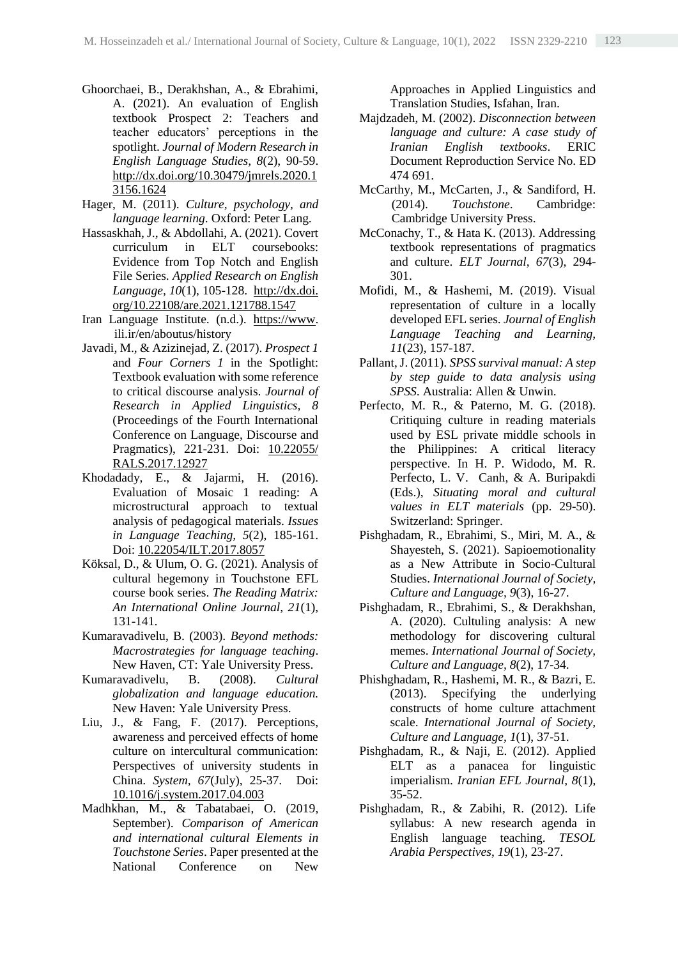- Ghoorchaei, B., Derakhshan, A., & Ebrahimi, A. (2021). An evaluation of English textbook Prospect 2: Teachers and teacher educators' perceptions in the spotlight. *Journal of Modern Research in English Language Studies, 8*(2), 90-59. [http://dx.doi.org/10.30479/jmrels.2020.1](https://dx.doi.org/10.30479/jmrels.2020.13156.1624) [3156.1624](https://dx.doi.org/10.30479/jmrels.2020.13156.1624)
- Hager, M. (2011). *Culture, psychology, and language learning*. Oxford: Peter Lang.
- Hassaskhah, J., & Abdollahi, A. (2021). Covert curriculum in ELT coursebooks: Evidence from Top Notch and English File Series. *Applied Research on English Language, 10*(1), 105-128. http://dx.doi. org/10.22108/are.2021.121788.1547
- Iran Language Institute. (n.d.). [https://www.](https://www/) ili.ir/en/aboutus/history
- Javadi, M., & Azizinejad, Z. (2017). *Prospect 1* and *Four Corners 1* in the Spotlight: Textbook evaluation with some reference to critical discourse analysis. *Journal of Research in Applied Linguistics, 8* (Proceedings of the Fourth International Conference on Language, Discourse and Pragmatics), 221-231. Doi: [10.22055/](https://dx.doi.org/10.22055/rals.2017.12927) [RALS.2017.12927](https://dx.doi.org/10.22055/rals.2017.12927)
- Khodadady, E., & Jajarmi, H. (2016). Evaluation of Mosaic 1 reading: A microstructural approach to textual analysis of pedagogical materials. *Issues in Language Teaching, 5*(2), 185-161. Doi: [10.22054/ILT.2017.8057](https://dx.doi.org/10.22054/ilt.2017.8057)
- Köksal, D., & Ulum, O. G. (2021). Analysis of cultural hegemony in Touchstone EFL course book series. *The Reading Matrix: An International Online Journal, 21*(1), 131-141.
- Kumaravadivelu, B. (2003). *Beyond methods: Macrostrategies for language teaching*. New Haven, CT: Yale University Press.<br>ravadivelu, B. (2008). Cultura.
- Kumaravadivelu, B. (2008). *Cultural globalization and language education.*  New Haven: Yale University Press.
- Liu, J., & Fang, F. (2017). Perceptions, awareness and perceived effects of home culture on intercultural communication: Perspectives of university students in China. *System, 67*(July), 25-37. Doi: [10.1016/j.system.2017.04.003](http://dx.doi.org/10.1016/j.system.2017.04.003)
- Madhkhan, M., & Tabatabaei, O. (2019, September). *Comparison of American and international cultural Elements in Touchstone Series*. Paper presented at the National Conference on New

Approaches in Applied Linguistics and Translation Studies, Isfahan, Iran.

- Majdzadeh, M. (2002). *Disconnection between language and culture: A case study of Iranian English textbooks*. ERIC Document Reproduction Service No. ED 474 691.
- McCarthy, M., McCarten, J., & Sandiford, H. (2014). *Touchstone*. Cambridge: Cambridge University Press.
- McConachy, T., & Hata K. (2013). Addressing textbook representations of pragmatics and culture. *ELT Journal, 67*(3), 294- 301.
- Mofidi, M., & Hashemi, M. (2019). Visual representation of culture in a locally developed EFL series. *Journal of English Language Teaching and Learning, 11*(23), 157-187.
- Pallant, J. (2011). *SPSS survival manual: A step by step guide to data analysis using SPSS*. Australia: Allen & Unwin.
- Perfecto, M. R., & Paterno, M. G. (2018). Critiquing culture in reading materials used by ESL private middle schools in the Philippines: A critical literacy perspective. In H. P. Widodo, M. R. Perfecto, L. V. Canh, & A. Buripakdi (Eds.), *Situating moral and cultural values in ELT materials* (pp. 29-50). Switzerland: Springer.
- Pishghadam, R., Ebrahimi, S., Miri, M. A., & Shayesteh, S. (2021). Sapioemotionality as a New Attribute in Socio-Cultural Studies. *International Journal of Society, Culture and Language, 9*(3), 16-27.
- Pishghadam, R., Ebrahimi, S., & Derakhshan, A. (2020). Cultuling analysis: A new methodology for discovering cultural memes. *International Journal of Society, Culture and Language, 8*(2), 17-34.
- Phishghadam, R., Hashemi, M. R., & Bazri, E. (2013). Specifying the underlying constructs of home culture attachment scale. *International Journal of Society, Culture and Language, 1*(1), 37-51.
- Pishghadam, R., & Naji, E. (2012). Applied ELT as a panacea for linguistic imperialism. *Iranian EFL Journal, 8*(1), 35-52.
- Pishghadam, R., & Zabihi, R. (2012). Life syllabus: A new research agenda in English language teaching. *TESOL Arabia Perspectives*, *19*(1), 23-27.